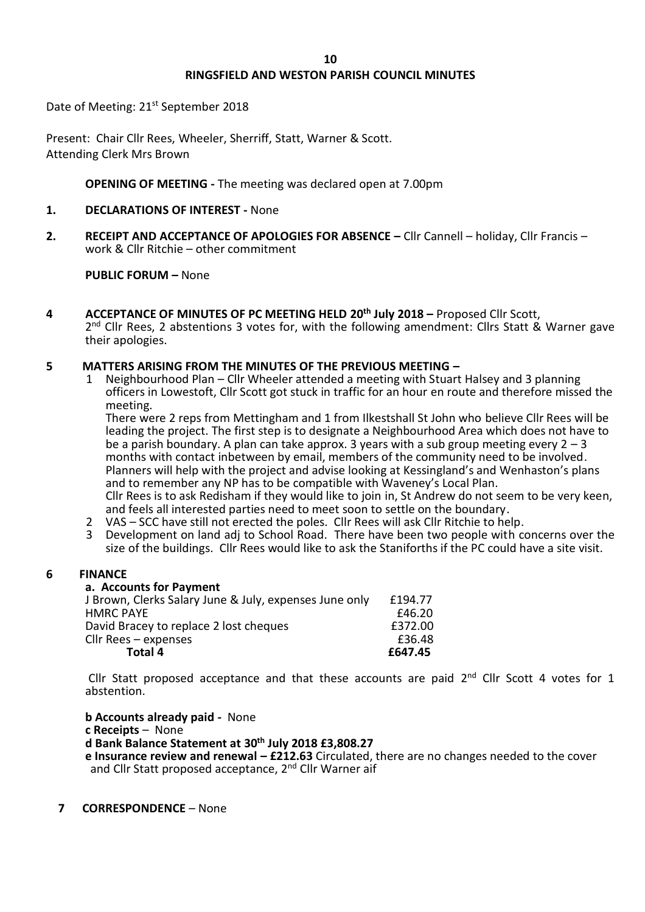# **RINGSFIELD AND WESTON PARISH COUNCIL MINUTES**

Date of Meeting: 21<sup>st</sup> September 2018

Present: Chair Cllr Rees, Wheeler, Sherriff, Statt, Warner & Scott. Attending Clerk Mrs Brown

## **OPENING OF MEETING -** The meeting was declared open at 7.00pm

#### **1. DECLARATIONS OF INTEREST -** None

**2. RECEIPT AND ACCEPTANCE OF APOLOGIES FOR ABSENCE –** Cllr Cannell – holiday, Cllr Francis – work & Cllr Ritchie – other commitment

## **PUBLIC FORUM –** None

**4 ACCEPTANCE OF MINUTES OF PC MEETING HELD 20th July 2018 –** Proposed Cllr Scott, 2<sup>nd</sup> Cllr Rees, 2 abstentions 3 votes for, with the following amendment: Cllrs Statt & Warner gave their apologies.

## **5 MATTERS ARISING FROM THE MINUTES OF THE PREVIOUS MEETING –**

1 Neighbourhood Plan – Cllr Wheeler attended a meeting with Stuart Halsey and 3 planning officers in Lowestoft, Cllr Scott got stuck in traffic for an hour en route and therefore missed the meeting.

There were 2 reps from Mettingham and 1 from Ilkestshall St John who believe Cllr Rees will be leading the project. The first step is to designate a Neighbourhood Area which does not have to be a parish boundary. A plan can take approx. 3 years with a sub group meeting every  $2 - 3$ months with contact inbetween by email, members of the community need to be involved. Planners will help with the project and advise looking at Kessingland's and Wenhaston's plans and to remember any NP has to be compatible with Waveney's Local Plan. Cllr Rees is to ask Redisham if they would like to join in, St Andrew do not seem to be very keen, and feels all interested parties need to meet soon to settle on the boundary.

- 2 VAS SCC have still not erected the poles. Cllr Rees will ask Cllr Ritchie to help.
- 3 Development on land adj to School Road. There have been two people with concerns over the size of the buildings. Cllr Rees would like to ask the Staniforths if the PC could have a site visit.

## **6 FINANCE**

#### **a. Accounts for Payment**

| Total 4                                                | £647.45 |
|--------------------------------------------------------|---------|
| Cllr Rees – expenses                                   | £36.48  |
| David Bracey to replace 2 lost cheques                 | £372.00 |
| HMRC PAYE                                              | £46.20  |
| J Brown, Clerks Salary June & July, expenses June only | £194.77 |
|                                                        |         |

Cllr Statt proposed acceptance and that these accounts are paid  $2<sup>nd</sup>$  Cllr Scott 4 votes for 1 abstention.

**b Accounts already paid -** None **c Receipts** – None **d Bank Balance Statement at 30th July 2018 £3,808.27 e Insurance review and renewal – £212.63** Circulated, there are no changes needed to the cover and Cllr Statt proposed acceptance, 2<sup>nd</sup> Cllr Warner aif

#### **7 CORRESPONDENCE** – None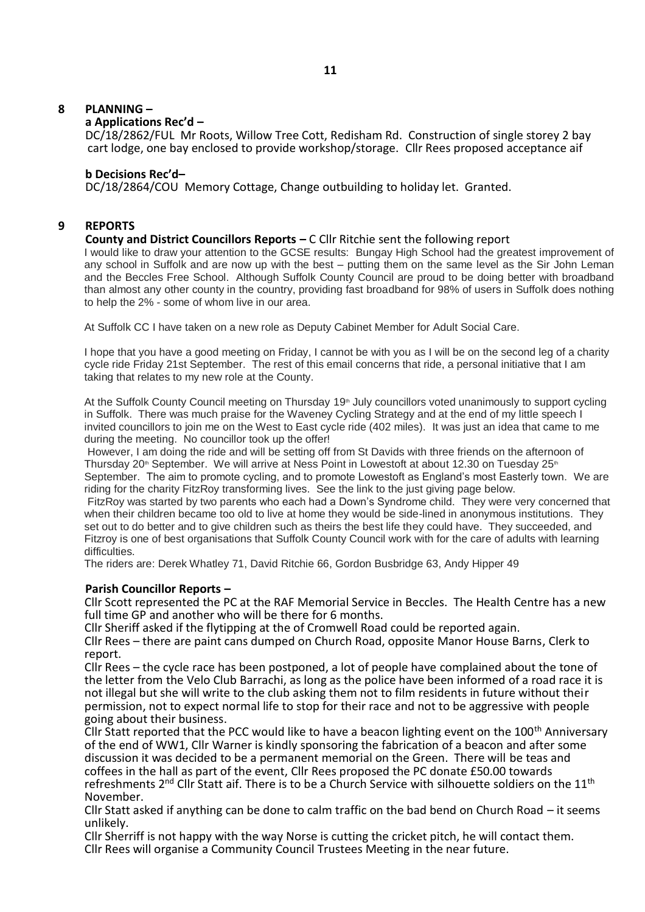## **8 PLANNING –**

#### **a Applications Rec'd –**

DC/18/2862/FUL Mr Roots, Willow Tree Cott, Redisham Rd. Construction of single storey 2 bay cart lodge, one bay enclosed to provide workshop/storage. Cllr Rees proposed acceptance aif

#### **b Decisions Rec'd–**

DC/18/2864/COU Memory Cottage, Change outbuilding to holiday let. Granted.

## **9 REPORTS**

#### **County and District Councillors Reports –** C Cllr Ritchie sent the following report

I would like to draw your attention to the GCSE results: Bungay High School had the greatest improvement of any school in Suffolk and are now up with the best – putting them on the same level as the Sir John Leman and the Beccles Free School. Although Suffolk County Council are proud to be doing better with broadband than almost any other county in the country, providing fast broadband for 98% of users in Suffolk does nothing to help the 2% - some of whom live in our area.

At Suffolk CC I have taken on a new role as Deputy Cabinet Member for Adult Social Care.

I hope that you have a good meeting on Friday, I cannot be with you as I will be on the second leg of a charity cycle ride Friday 21st September. The rest of this email concerns that ride, a personal initiative that I am taking that relates to my new role at the County.

At the Suffolk County Council meeting on Thursday 19<sup>th</sup> July councillors voted unanimously to support cycling in Suffolk. There was much praise for the Waveney Cycling Strategy and at the end of my little speech I invited councillors to join me on the West to East cycle ride (402 miles). It was just an idea that came to me during the meeting. No councillor took up the offer!

However, I am doing the ride and will be setting off from St Davids with three friends on the afternoon of Thursday 20<sup>th</sup> September. We will arrive at Ness Point in Lowestoft at about 12.30 on Tuesday 25<sup>th</sup> September. The aim to promote cycling, and to promote Lowestoft as England's most Easterly town. We are riding for the charity FitzRoy transforming lives. See the link to the just giving page below.

FitzRoy was started by two parents who each had a Down's Syndrome child. They were very concerned that when their children became too old to live at home they would be side-lined in anonymous institutions. They set out to do better and to give children such as theirs the best life they could have. They succeeded, and Fitzroy is one of best organisations that Suffolk County Council work with for the care of adults with learning difficulties.

The riders are: Derek Whatley 71, David Ritchie 66, Gordon Busbridge 63, Andy Hipper 49

#### **Parish Councillor Reports –**

 Cllr Scott represented the PC at the RAF Memorial Service in Beccles. The Health Centre has a new full time GP and another who will be there for 6 months.

Cllr Sheriff asked if the flytipping at the of Cromwell Road could be reported again.

 Cllr Rees – there are paint cans dumped on Church Road, opposite Manor House Barns, Clerk to report.

 Cllr Rees – the cycle race has been postponed, a lot of people have complained about the tone of the letter from the Velo Club Barrachi, as long as the police have been informed of a road race it is not illegal but she will write to the club asking them not to film residents in future without their permission, not to expect normal life to stop for their race and not to be aggressive with people going about their business.

Cllr Statt reported that the PCC would like to have a beacon lighting event on the 100<sup>th</sup> Anniversary of the end of WW1, Cllr Warner is kindly sponsoring the fabrication of a beacon and after some discussion it was decided to be a permanent memorial on the Green. There will be teas and coffees in the hall as part of the event, Cllr Rees proposed the PC donate £50.00 towards refreshments 2<sup>nd</sup> Cllr Statt aif. There is to be a Church Service with silhouette soldiers on the 11<sup>th</sup> November.

 Cllr Statt asked if anything can be done to calm traffic on the bad bend on Church Road – it seems unlikely.

 Cllr Sherriff is not happy with the way Norse is cutting the cricket pitch, he will contact them. Cllr Rees will organise a Community Council Trustees Meeting in the near future.